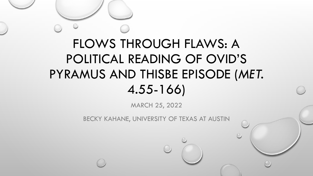# FLOWS THROUGH FLAWS: A POLITICAL READING OF OVID'S PYRAMUS AND THISBE EPISODE (*MET.*  4.55-166)

MARCH 25, 2022

BECKY KAHANE, UNIVERSITY OF TEXAS AT AUSTIN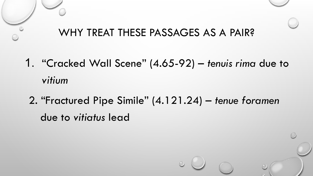# WHY TREAT THESE PASSAGES AS A PAIR?

- 1. "Cracked Wall Scene" (4.65-92) *tenuis rima* due to *vitium*
- 2. "Fractured Pipe Simile" (4.121.24) *tenue foramen*  due to *vitiatus* lead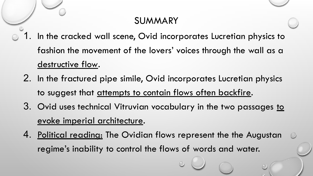## SUMMARY

- 1. In the cracked wall scene, Ovid incorporates Lucretian physics to fashion the movement of the lovers' voices through the wall as a destructive flow.
	- 2. In the fractured pipe simile, Ovid incorporates Lucretian physics to suggest that attempts to contain flows often backfire.
	- 3. Ovid uses technical Vitruvian vocabulary in the two passages to evoke imperial architecture.
	- 4. Political reading: The Ovidian flows represent the the Augustan regime's inability to control the flows of words and water.

 $\circ$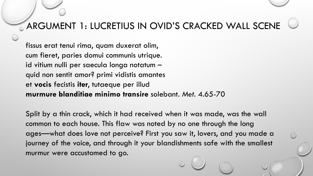### **ARGUMENT 1: LUCRETIUS IN OVID'S CRACKED WALL SCENE**

fissus erat tenui rima, quam duxerat olim, cum fieret, paries domui communis utrique. id vitium nulli per saecula longa notatum – quid non sentit amor? primi vidistis amantes et **vocis** fecistis **iter**, tutaeque per illud **murmure blanditiae minimo transire** solebant. *Met.* 4.65-70

Split by a thin crack, which it had received when it was made, was the wall common to each house. This flaw was noted by no one through the long ages—what does love not perceive? First you saw it, lovers, and you made a journey of the voice, and through it your blandishments safe with the smallest murmur were accustomed to go.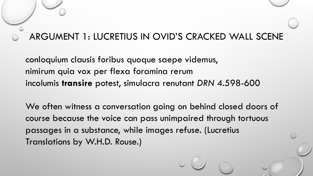#### ARGUMENT 1: LUCRETIUS IN OVID'S CRACKED WALL SCENE

conloquium clausis foribus quoque saepe videmus, nimirum quia vox per flexa foramina rerum incolumis **transire** potest, simulacra renutant *DRN* 4.598-600

We often witness a conversation going on behind closed doors of course because the voice can pass unimpaired through tortuous passages in a substance, while images refuse. (Lucretius Translations by W.H.D. Rouse.)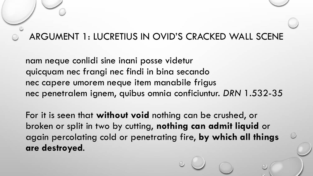#### ARGUMENT 1: LUCRETIUS IN OVID'S CRACKED WALL SCENE

nam neque conlidi sine inani posse videtur quicquam nec frangi nec findi in bina secando nec capere umorem neque item manabile frigus nec penetralem ignem, quibus omnia conficiuntur. *DRN* 1.532-35

For it is seen that **without void** nothing can be crushed, or broken or split in two by cutting, **nothing can admit liquid** or again percolating cold or penetrating fire, **by which all things are destroyed**.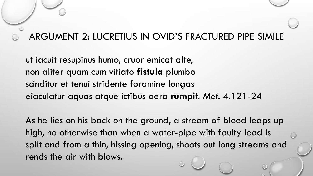#### ARGUMENT 2: LUCRETIUS IN OVID'S FRACTURED PIPE SIMILE

ut iacuit resupinus humo, cruor emicat alte, non aliter quam cum vitiato **fistula** plumbo scinditur et tenui stridente foramine longas eiaculatur aquas atque ictibus aera **rumpit**. *Met.* 4.121-24

As he lies on his back on the ground, a stream of blood leaps up high, no otherwise than when a water-pipe with faulty lead is split and from a thin, hissing opening, shoots out long streams and rends the air with blows.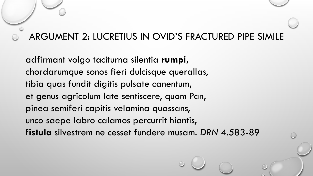#### ARGUMENT 2: LUCRETIUS IN OVID'S FRACTURED PIPE SIMILE

adfirmant volgo taciturna silentia **rumpi,** chordarumque sonos fieri dulcisque querallas, tibia quas fundit digitis pulsate canentum, et genus agricolum late sentiscere, quom Pan, pinea semiferi capitis velamina quassans, unco saepe labro calamos percurrit hiantis, **fistula** silvestrem ne cesset fundere musam. *DRN* 4.583-89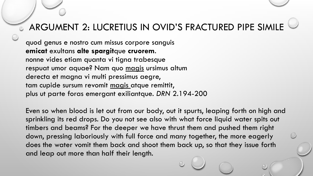## **E ARGUMENT 2: LUCRETIUS IN OVID'S FRACTURED PIPE SIMILE**

quod genus e nostro cum missus corpore sanguis **emicat** exultans **alte spargit**que **cruorem**. nonne vides etiam quanta vi tigna trabesque respuat umor aquae? Nam quo magis ursimus altum derecta et magna vi multi pressimus aegre, tam cupide sursum revomit magis atque remittit, plus ut parte foras emergant exiliantque. *DRN* 2.194-200

Even so when blood is let out from our body, out it spurts, leaping forth on high and sprinkling its red drops. Do you not see also with what force liquid water spits out timbers and beams? For the deeper we have thrust them and pushed them right down, pressing laboriously with full force and many together, the more eagerly does the water vomit them back and shoot them back up, so that they issue forth and leap out more than half their length.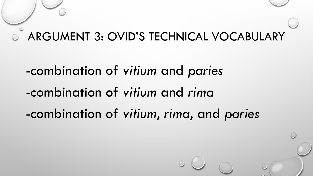# ARGUMENT 3: OVID'S TECHNICAL VOCABULARY

-combination of *vitium* and *paries* -combination of *vitium* and *rima* -combination of *vitium*, *rima*, and *paries*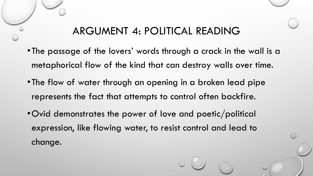# ARGUMENT 4: POLITICAL READING

- •The passage of the lovers' words through a crack in the wall is a metaphorical flow of the kind that can destroy walls over time.
- •The flow of water through an opening in a broken lead pipe represents the fact that attempts to control often backfire.
- •Ovid demonstrates the power of love and poetic/political expression, like flowing water, to resist control and lead to change.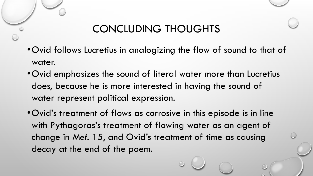# CONCLUDING THOUGHTS

- •Ovid follows Lucretius in analogizing the flow of sound to that of water.
- •Ovid emphasizes the sound of literal water more than Lucretius does, because he is more interested in having the sound of water represent political expression.
- •Ovid's treatment of flows as corrosive in this episode is in line with Pythagoras's treatment of flowing water as an agent of change in *Met.* 15, and Ovid's treatment of time as causing decay at the end of the poem.